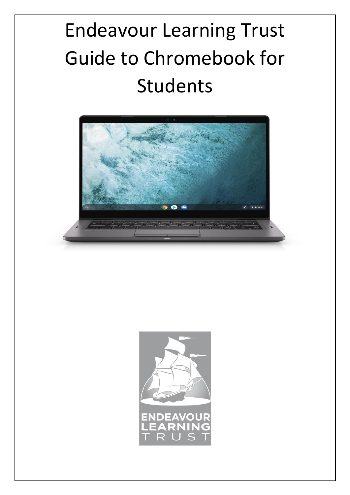# Endeavour Learning Trust Guide to Chromebook for Students



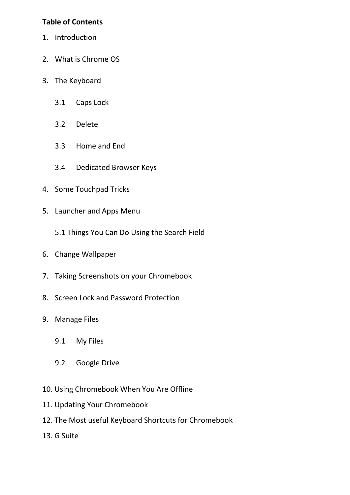#### **Table of Contents**

- 1. Introduction
- 2. What is Chrome OS
- 3. The Keyboard
	- 3.1 Caps Lock
	- 3.2 Delete
	- 3.3 Home and End
	- 3.4 Dedicated Browser Keys
- 4. Some Touchpad Tricks
- 5. Launcher and Apps Menu
	- 5.1 Things You Can Do Using the Search Field
- 6. Change Wallpaper
- 7. Taking Screenshots on your Chromebook
- 8. Screen Lock and Password Protection
- 9. Manage Files
	- 9.1 My Files
	- 9.2 Google Drive
- 10. Using Chromebook When You Are Offline
- 11. Updating Your Chromebook
- 12. The Most useful Keyboard Shortcuts for Chromebook
- 13. G Suite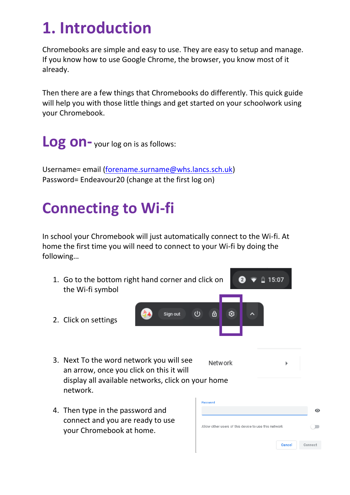#### **1. Introduction**

Chromebooks are simple and easy to use. They are easy to setup and manage. If you know how to use Google Chrome, the browser, you know most of it already.

Then there are a few things that Chromebooks do differently. This quick guide will help you with those little things and get started on your schoolwork using your Chromebook.

**Log on-** your log on is as follows:

Username= email [\(forename.surname@whs.lancs.sch.uk\)](mailto:forename.surname@whs.lancs.sch.uk) Password= Endeavour20 (change at the first log on)

#### **Connecting to Wi-fi**

In school your Chromebook will just automatically connect to the Wi-fi. At home the first time you will need to connect to your Wi-fi by doing the following…

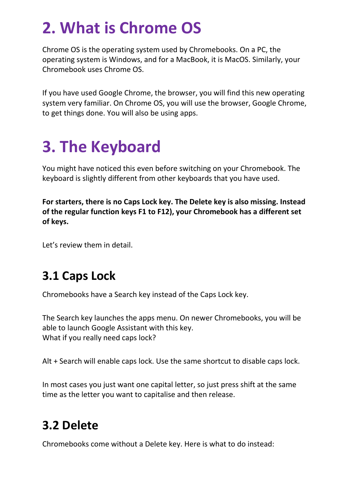#### **2. What is Chrome OS**

Chrome OS is the operating system used by Chromebooks. On a PC, the operating system is Windows, and for a MacBook, it is MacOS. Similarly, your Chromebook uses Chrome OS.

If you have used Google Chrome, the browser, you will find this new operating system very familiar. On Chrome OS, you will use the browser, Google Chrome, to get things done. You will also be using apps.

### **3. The Keyboard**

You might have noticed this even before switching on your Chromebook. The keyboard is slightly different from other keyboards that you have used.

**For starters, there is no Caps Lock key. The Delete key is also missing. Instead of the regular function keys F1 to F12), your Chromebook has a different set of keys.**

Let's review them in detail.

#### **3.1 Caps Lock**

Chromebooks have a Search key instead of the Caps Lock key.

The Search key launches the apps menu. On newer Chromebooks, you will be able to launch Google Assistant with this key. What if you really need caps lock?

Alt + Search will enable caps lock. Use the same shortcut to disable caps lock.

In most cases you just want one capital letter, so just press shift at the same time as the letter you want to capitalise and then release.

#### **3.2 Delete**

Chromebooks come without a Delete key. Here is what to do instead: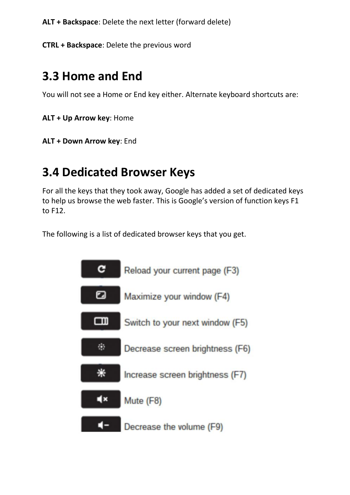**ALT + Backspace**: Delete the next letter (forward delete)

**CTRL + Backspace**: Delete the previous word

#### **3.3 Home and End**

You will not see a Home or End key either. Alternate keyboard shortcuts are:

**ALT + Up Arrow key**: Home

**ALT + Down Arrow key**: End

#### **3.4 Dedicated Browser Keys**

For all the keys that they took away, Google has added a set of dedicated keys to help us browse the web faster. This is Google's version of function keys F1 to F12.

The following is a list of dedicated browser keys that you get.

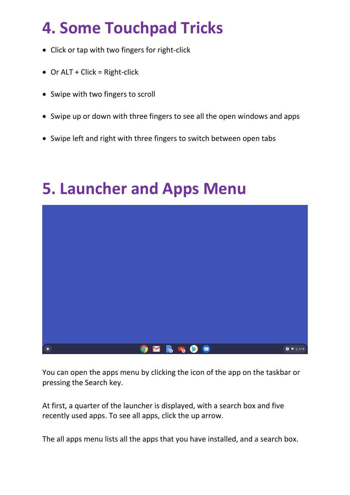### **4. Some Touchpad Tricks**

- Click or tap with two fingers for right-click
- Or ALT + Click = Right-click
- Swipe with two fingers to scroll
- Swipe up or down with three fingers to see all the open windows and apps
- Swipe left and right with three fingers to switch between open tabs



#### **5. Launcher and Apps Menu**

You can open the apps menu by clicking the icon of the app on the taskbar or pressing the Search key.

At first, a quarter of the launcher is displayed, with a search box and five recently used apps. To see all apps, click the up arrow.

The all apps menu lists all the apps that you have installed, and a search box.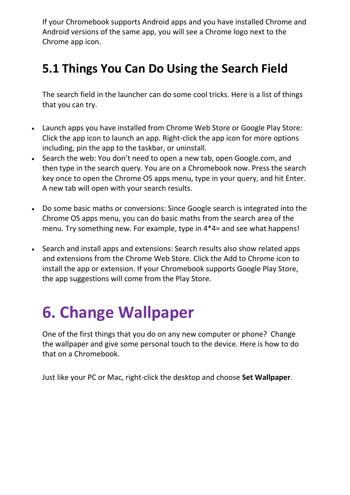If your Chromebook supports Android apps and you have installed Chrome and Android versions of the same app, you will see a Chrome logo next to the Chrome app icon.

#### **5.1 Things You Can Do Using the Search Field**

The search field in the launcher can do some cool tricks. Here is a list of things that you can try.

- Launch apps you have installed from Chrome Web Store or Google Play Store: Click the app icon to launch an app. Right-click the app icon for more options including, pin the app to the taskbar, or uninstall.
- Search the web: You don't need to open a new tab, open Google.com, and then type in the search query. You are on a Chromebook now. Press the search key once to open the Chrome OS apps menu, type in your query, and hit Enter. A new tab will open with your search results.
- Do some basic maths or conversions: Since Google search is integrated into the Chrome OS apps menu, you can do basic maths from the search area of the menu. Try something new. For example, type in 4\*4= and see what happens!
- Search and install apps and extensions: Search results also show related apps and extensions from the Chrome Web Store. Click the Add to Chrome icon to install the app or extension. If your Chromebook supports Google Play Store, the app suggestions will come from the Play Store.

### **6. Change Wallpaper**

One of the first things that you do on any new computer or phone? [Change](https://www.chromestory.com/2016/03/chromebook-wallpaper-automatic/)  [the wallpaper](https://www.chromestory.com/2016/03/chromebook-wallpaper-automatic/) and give some personal touch to the device. Here is how to do that on a Chromebook.

Just like your PC or Mac, right-click the desktop and choose **Set Wallpaper**.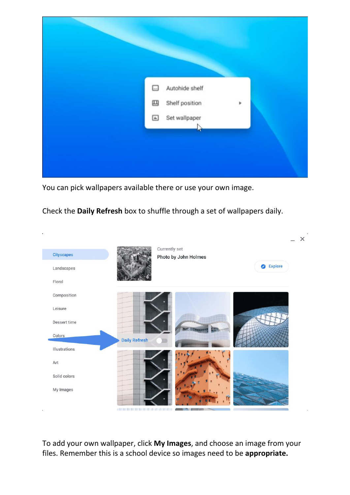

You can pick wallpapers available there or use your own image.

Check the **Daily Refresh** box to shuffle through a set of wallpapers daily.



To add your own wallpaper, click **My Images**, and choose an image from your files. Remember this is a school device so images need to be **appropriate.**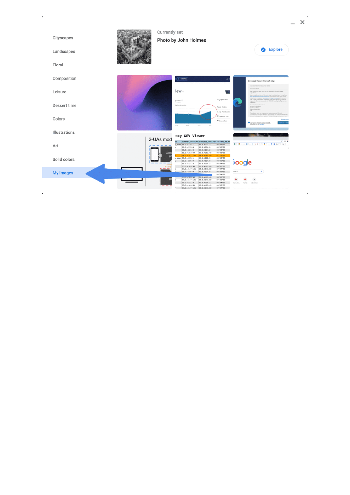| Cityscapes<br>Landscapes | Currently set                                                                                                | Photo by John Holmes                                                                                                                                                                    |                                                                                           | <b>2</b> Explore                                                                                                                                                                                                                                                                                                                                                                     |
|--------------------------|--------------------------------------------------------------------------------------------------------------|-----------------------------------------------------------------------------------------------------------------------------------------------------------------------------------------|-------------------------------------------------------------------------------------------|--------------------------------------------------------------------------------------------------------------------------------------------------------------------------------------------------------------------------------------------------------------------------------------------------------------------------------------------------------------------------------------|
| Floral                   |                                                                                                              |                                                                                                                                                                                         |                                                                                           |                                                                                                                                                                                                                                                                                                                                                                                      |
| Composition              |                                                                                                              | $+$ COMPARE                                                                                                                                                                             | ad)                                                                                       | Download the new Microsoft Edge                                                                                                                                                                                                                                                                                                                                                      |
| Leisure                  |                                                                                                              | iew o                                                                                                                                                                                   | $\sim$ EH                                                                                 | MICROSOFT SOFTWARE UCOVSE TERMS<br>MICROSOFF RISK<br>After installation, these terms are also viewable in liferously Liter at<br>odge.charm.<br>Source code for portions of Microsoft Edge is avail-<br>https://dealpertynource.restrate/host-under the third party open source                                                                                                      |
| Dessert time             |                                                                                                              | y.com @<br>Lover time<br>the last 6 months                                                                                                                                              | Engagement<br><b>Total Visits</b>                                                         | lidge at miga (Vendita after exhibition. Or to obtain this assuran-<br>may used a check or rearing order for US $SO(3)$ including the Edge version member, we<br>Storia Code Compliance To<br>Microsoft Corporation<br>One Microsoft Way<br>Refirrond, WA 99052                                                                                                                      |
| Colors                   |                                                                                                              | $\sim$<br>$\mathcal{W}(\mathbf{q})$ Tel.<br>$\sim 10$<br>$\sim 10$                                                                                                                      | 3 Aug. Visit Duration<br>Fill Pages per Visit<br><b>+</b> Bounce Rate                     | These license terms are an apprensent between you and Microsoft Corporation (as one of its affiliated). They apply to this software publi-<br>Microsoft and any software updates ("Software") (except to the extent so<br><b>Privacy clute</b><br>any Museum improve au producti la sendre<br>costi reports, kilo dissutitore più une file bone<br>and websites you with autos likes |
| Illustrations            |                                                                                                              | oxy CSV Viewer                                                                                                                                                                          |                                                                                           |                                                                                                                                                                                                                                                                                                                                                                                      |
| Art                      | 2-UAs mod                                                                                                    | 1<br>current version previous version current relde<br>86.0.4222.3<br>$4.83$ an 86.0.4225.1<br>86.0.4225.0<br>86.0.4224.0<br>86.0.4221.3<br>86.0.4214.2<br>85.0.4183.59<br>85.0.4183.48 | 88/86/28<br>88/86/28<br>08/04/20<br>88/85/28                                              | $n \otimes n$<br><b>BO BANNIE O COL 2 Q COUNT TK A B B BOTC BK</b>                                                                                                                                                                                                                                                                                                                   |
| Solid colors             | Cont                                                                                                         | 84.0.4147.105  84.0.4147.89<br>$4.48$ asan 86.0.4225.1<br>86.0.4222.3<br>86.0.4225.0<br>86.0.4224.0<br>86.0.4221.3<br>86.0.4214.2<br>85.0.4183.48<br>85.0.4183.59                       | 87/27/28<br>08/06/20<br>08/06/20<br><b>200gle</b><br>08/04/20<br>88/05/28                 |                                                                                                                                                                                                                                                                                                                                                                                      |
| <b>My Images</b>         | $\frac{1}{2} \left( \frac{1}{2} \right) \left( \frac{1}{2} \right) = \frac{1}{2} \left( \frac{1}{2} \right)$ | 84.0.4147.105<br>84.0.4147.89<br>86.0.4225.0<br>86.0.4224.0                                                                                                                             | 07/27/20<br>pea URL<br>88/86/28<br>88/84/28                                               | $\Phi^-$                                                                                                                                                                                                                                                                                                                                                                             |
|                          |                                                                                                              | 85.0.4183.48<br>85.0.4183.59<br>84.0.4147.105<br>84.0.4147.89<br>86.0.4221.3<br>86.0.4214.2<br>85.0.4183.59<br>85.0.4183.49<br>84.0.4147.105 84.0.4147.89                               | 88/85/28<br>07/29/20<br>88/04/28<br>boone, Den.<br><b>YouTube</b><br>08/05/20<br>87/27/28 | Africans                                                                                                                                                                                                                                                                                                                                                                             |

 $\mathcal{L}(\mathcal{A})$  .

 $- x$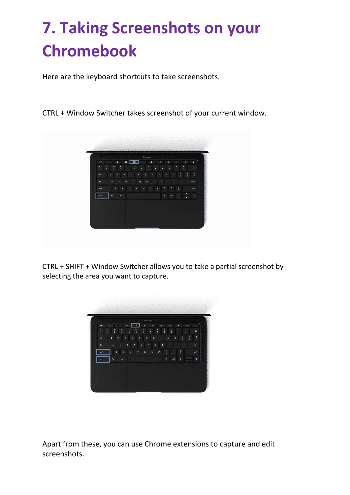### **7. Taking Screenshots on your Chromebook**

Here are the keyboard shortcuts to take screenshots.

CTRL + Window Switcher takes screenshot of your current window.



CTRL + SHIFT + Window Switcher allows you to take a partial screenshot by selecting the area you want to capture.

| esc          | $\mathbf{C}$<br>$\leftarrow$                        | a              | œ<br>۰           | $\bullet$           | ×u.              | $\bullet$            | ٠                   | $\bullet$      | ¢             |
|--------------|-----------------------------------------------------|----------------|------------------|---------------------|------------------|----------------------|---------------------|----------------|---------------|
| ٠<br>×.<br>x | ø<br>n<br>$\overline{2}$<br>$\overline{\mathbf{3}}$ | s<br>4         | %<br>۸<br>5<br>6 | ŝ<br>$\overline{z}$ | ¢<br>٠<br>9<br>8 | ١<br>$\circ$         |                     | ٠<br>×.        | ø             |
| tab          | $\mathbf{q}$<br>w                                   | ٠<br>$\bullet$ | ŧ                | y<br>u              | ĩ                | ۰                    | p<br>f.             | ı              | п<br>Ă        |
|              | a<br>s                                              | f<br>d         | g                | h                   | k                | ï                    | p                   |                | enter         |
| phin         | z                                                   | ×<br>¢         | b<br>v           | $\mathbf n$         | m                | ×<br>٠               | $\overline{r}$<br>Ž |                | phift         |
| ctri         | $\bullet_{\mathcal{C}}$<br>alt.                     |                |                  |                     |                  | ctri<br>$\mathbf{a}$ | ×                   | $\lambda$<br>v | $\rightarrow$ |
|              |                                                     |                |                  |                     |                  |                      |                     |                |               |
|              |                                                     |                |                  |                     |                  |                      |                     |                |               |

Apart from these, you can use Chrome extensions to capture and edit screenshots.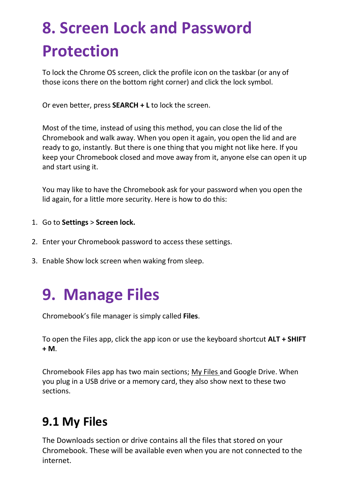### **8. Screen Lock and Password Protection**

To lock the Chrome OS screen, click the profile icon on the taskbar (or any of those icons there on the bottom right corner) and click the lock symbol.

Or even better, press **SEARCH + L** to lock the screen.

Most of the time, instead of using this method, you can close the lid of the Chromebook and walk away. When you open it again, you open the lid and are ready to go, instantly. But there is one thing that you might not like here. If you keep your Chromebook closed and move away from it, anyone else can open it up and start using it.

You may like to have the Chromebook ask for your password when you open the lid again, for a little more security. Here is how to do this:

- 1. Go to **Settings** > **Screen lock.**
- 2. Enter your Chromebook password to access these settings.
- 3. Enable Show lock screen when waking from sleep.

#### **9. Manage Files**

Chromebook's file manager is simply called **Files**.

To open the Files app, click the app icon or use the keyboard shortcut **ALT + SHIFT + M**.

Chromebook Files app has two main sections; [My Files](https://www.chromestory.com/2020/01/chromebook-file-manager/) and Google Drive. When you plug in a USB drive or a memory card, they also show next to these two sections.

#### **9.1 My Files**

The Downloads section or drive contains all the files that stored on your Chromebook. These will be available even when you are not connected to the internet.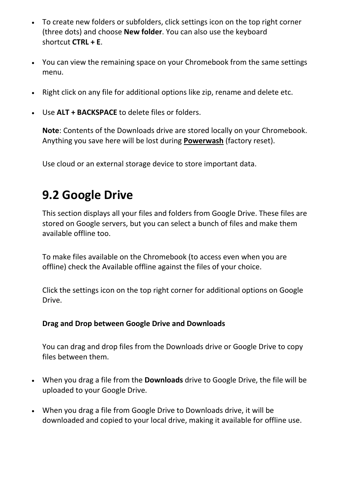- To create new folders or subfolders, click settings icon on the top right corner (three dots) and choose **New folder**. You can also use the keyboard shortcut **CTRL + E**.
- You can view the remaining space on your Chromebook from the same settings menu.
- Right click on any file for additional options like zip, rename and delete etc.
- Use **ALT + BACKSPACE** to delete files or folders.

**Note**: Contents of the Downloads drive are stored locally on your Chromebook. Anything you save here will be lost during **[Powerwash](https://www.chromestory.com/2018/03/reset-your-chromebook/)** (factory reset).

Use cloud or an external storage device to store important data.

#### **9.2 Google Drive**

This section displays all your files and folders from Google Drive. These files are stored on Google servers, but you can select a bunch of files and make them available offline too.

To make files available on the Chromebook (to access even when you are offline) check the Available offline against the files of your choice.

Click the settings icon on the top right corner for additional options on Google Drive.

#### **Drag and Drop between Google Drive and Downloads**

You can drag and drop files from the Downloads drive or Google Drive to copy files between them.

- When you drag a file from the **Downloads** drive to Google Drive, the file will be uploaded to your Google Drive.
- When you drag a file from Google Drive to Downloads drive, it will be downloaded and copied to your local drive, making it available for offline use.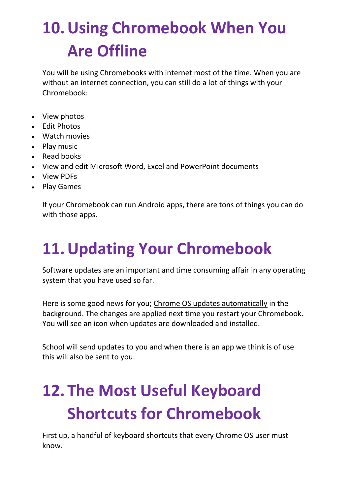## **10.Using Chromebook When You Are Offline**

You will be using Chromebooks with internet most of the time. When you are without an internet connection, you can still do a lot of things with your Chromebook:

- View photos
- Edit Photos
- Watch movies
- Play music
- Read books
- View and edit Microsoft Word, Excel and PowerPoint documents
- View PDFs
- Play Games

If your Chromebook can run Android apps, there are tons of things you can do with those apps.

### **11.Updating Your Chromebook**

Software updates are an important and time consuming affair in any operating system that you have used so far.

Here is some good news for you; [Chrome OS updates automatically](https://www.chromestory.com/2020/01/update-chromebook/) in the background. The changes are applied next time you restart your Chromebook. You will see an icon when updates are downloaded and installed.

School will send updates to you and when there is an app we think is of use this will also be sent to you.

## **12. The Most Useful Keyboard Shortcuts for Chromebook**

First up, a handful of keyboard shortcuts that every Chrome OS user must know.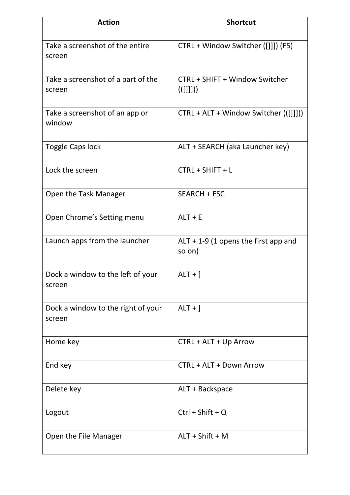| <b>Action</b>                                | <b>Shortcut</b>                                  |
|----------------------------------------------|--------------------------------------------------|
| Take a screenshot of the entire<br>screen    | CTRL + Window Switcher ([]]]) (F5)               |
| Take a screenshot of a part of the<br>screen | CTRL + SHIFT + Window Switcher<br>(([]           |
| Take a screenshot of an app or<br>window     | CTRL + ALT + Window Switcher (([]]]))            |
| <b>Toggle Caps lock</b>                      | ALT + SEARCH (aka Launcher key)                  |
| Lock the screen                              | CTRL + SHIFT + L                                 |
| Open the Task Manager                        | SEARCH + ESC                                     |
| Open Chrome's Setting menu                   | $ALT + E$                                        |
| Launch apps from the launcher                | $ALT + 1-9$ (1 opens the first app and<br>so on) |
| Dock a window to the left of your<br>screen  | $ALT +$ [                                        |
| Dock a window to the right of your<br>screen | $ALT +$ ]                                        |
| Home key                                     | CTRL + ALT + Up Arrow                            |
| End key                                      | CTRL + ALT + Down Arrow                          |
| Delete key                                   | ALT + Backspace                                  |
| Logout                                       | $Ctrl + Shift + Q$                               |
| Open the File Manager                        | $ALT + Shift + M$                                |